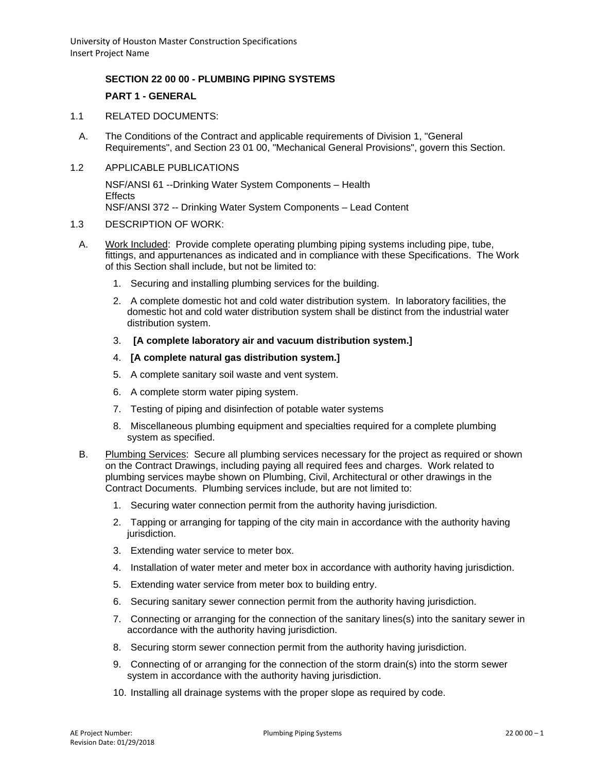### **SECTION 22 00 00 - PLUMBING PIPING SYSTEMS**

# **PART 1 - GENERAL**

- 1.1 RELATED DOCUMENTS:
	- A. The Conditions of the Contract and applicable requirements of Division 1, "General Requirements", and Section 23 01 00, "Mechanical General Provisions", govern this Section.
- 1.2 APPLICABLE PUBLICATIONS

NSF/ANSI 61 --Drinking Water System Components – Health Effects NSF/ANSI 372 -- Drinking Water System Components – Lead Content

#### 1.3 DESCRIPTION OF WORK:

- A. Work Included: Provide complete operating plumbing piping systems including pipe, tube, fittings, and appurtenances as indicated and in compliance with these Specifications. The Work of this Section shall include, but not be limited to:
	- 1. Securing and installing plumbing services for the building.
	- 2. A complete domestic hot and cold water distribution system. In laboratory facilities, the domestic hot and cold water distribution system shall be distinct from the industrial water distribution system.
	- 3. **[A complete laboratory air and vacuum distribution system.]**
	- 4. **[A complete natural gas distribution system.]**
	- 5. A complete sanitary soil waste and vent system.
	- 6. A complete storm water piping system.
	- 7. Testing of piping and disinfection of potable water systems
	- 8. Miscellaneous plumbing equipment and specialties required for a complete plumbing system as specified.
- B. Plumbing Services: Secure all plumbing services necessary for the project as required or shown on the Contract Drawings, including paying all required fees and charges. Work related to plumbing services maybe shown on Plumbing, Civil, Architectural or other drawings in the Contract Documents. Plumbing services include, but are not limited to:
	- 1. Securing water connection permit from the authority having jurisdiction.
	- 2. Tapping or arranging for tapping of the city main in accordance with the authority having jurisdiction.
	- 3. Extending water service to meter box.
	- 4. Installation of water meter and meter box in accordance with authority having jurisdiction.
	- 5. Extending water service from meter box to building entry.
	- 6. Securing sanitary sewer connection permit from the authority having jurisdiction.
	- 7. Connecting or arranging for the connection of the sanitary lines(s) into the sanitary sewer in accordance with the authority having jurisdiction.
	- 8. Securing storm sewer connection permit from the authority having jurisdiction.
	- 9. Connecting of or arranging for the connection of the storm drain(s) into the storm sewer system in accordance with the authority having jurisdiction.
	- 10. Installing all drainage systems with the proper slope as required by code.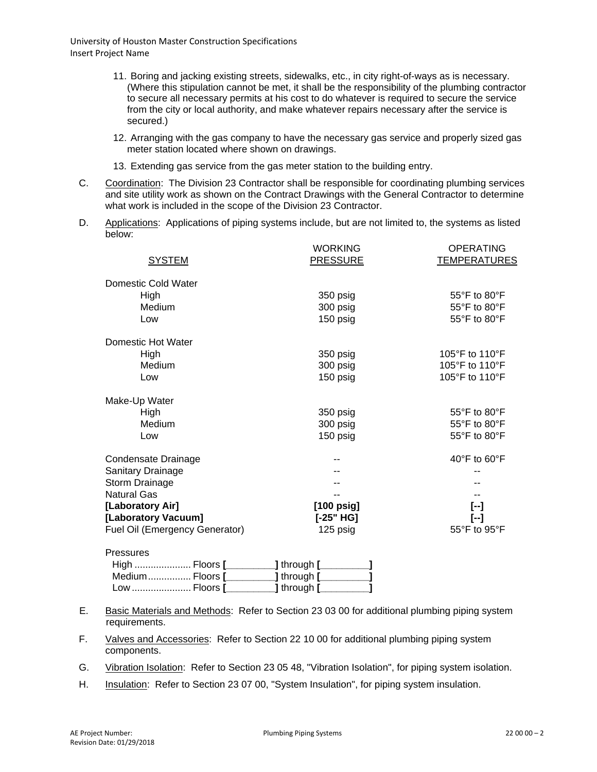- 11. Boring and jacking existing streets, sidewalks, etc., in city right-of-ways as is necessary. (Where this stipulation cannot be met, it shall be the responsibility of the plumbing contractor to secure all necessary permits at his cost to do whatever is required to secure the service from the city or local authority, and make whatever repairs necessary after the service is secured.)
- 12. Arranging with the gas company to have the necessary gas service and properly sized gas meter station located where shown on drawings.
- 13. Extending gas service from the gas meter station to the building entry.
- C. Coordination: The Division 23 Contractor shall be responsible for coordinating plumbing services and site utility work as shown on the Contract Drawings with the General Contractor to determine what work is included in the scope of the Division 23 Contractor.
- D. Applications: Applications of piping systems include, but are not limited to, the systems as listed below:

|                                | <b>WORKING</b>       | <b>OPERATING</b>                                   |
|--------------------------------|----------------------|----------------------------------------------------|
| <b>SYSTEM</b>                  | <b>PRESSURE</b>      | <b>TEMPERATURES</b>                                |
| Domestic Cold Water            |                      |                                                    |
| High                           | 350 psig             | 55°F to 80°F                                       |
| Medium                         | 300 psig             | $55^{\circ}$ F to $80^{\circ}$ F                   |
| Low                            | 150 psig             | 55°F to 80°F                                       |
| Domestic Hot Water             |                      |                                                    |
| High                           | 350 psig             | 105°F to 110°F                                     |
| Medium                         | 300 psig             | 105°F to 110°F                                     |
| Low                            | 150 psig             | 105°F to 110°F                                     |
| Make-Up Water                  |                      |                                                    |
| High                           | 350 psig             | 55°F to 80°F                                       |
| Medium                         | 300 psig             | 55°F to 80°F                                       |
| Low                            | 150 psig             | 55°F to 80°F                                       |
| Condensate Drainage            |                      | 40 $\mathrm{^{\circ}F}$ to 60 $\mathrm{^{\circ}F}$ |
| Sanitary Drainage              |                      |                                                    |
| Storm Drainage                 |                      |                                                    |
| <b>Natural Gas</b>             |                      |                                                    |
| [Laboratory Air]               | $[100 \text{ psig}]$ | $[-]$                                              |
| [Laboratory Vacuum]            | $[-25" HG]$          | $[-]$                                              |
| Fuel Oil (Emergency Generator) | 125 psig             | 55°F to 95°F                                       |
| <b>Pressures</b>               |                      |                                                    |

| <b>IGOOUIGO</b> |                             |  |
|-----------------|-----------------------------|--|
|                 | $\lfloor$ through $\lfloor$ |  |
|                 | ____ <b>]</b> through [_    |  |
|                 |                             |  |

- E. Basic Materials and Methods: Refer to Section 23 03 00 for additional plumbing piping system requirements.
- F. Valves and Accessories: Refer to Section 22 10 00 for additional plumbing piping system components.
- G. Vibration Isolation: Refer to Section 23 05 48, "Vibration Isolation", for piping system isolation.
- H. Insulation: Refer to Section 23 07 00, "System Insulation", for piping system insulation.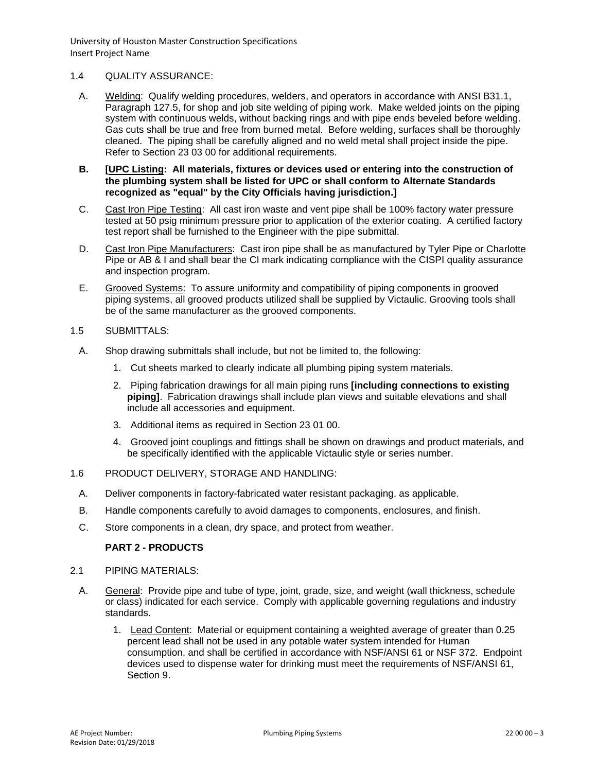### 1.4 QUALITY ASSURANCE:

- A. Welding: Qualify welding procedures, welders, and operators in accordance with ANSI B31.1, Paragraph 127.5, for shop and job site welding of piping work. Make welded joints on the piping system with continuous welds, without backing rings and with pipe ends beveled before welding. Gas cuts shall be true and free from burned metal. Before welding, surfaces shall be thoroughly cleaned. The piping shall be carefully aligned and no weld metal shall project inside the pipe. Refer to Section 23 03 00 for additional requirements.
- **B. [UPC Listing: All materials, fixtures or devices used or entering into the construction of the plumbing system shall be listed for UPC or shall conform to Alternate Standards recognized as "equal" by the City Officials having jurisdiction.]**
- C. Cast Iron Pipe Testing: All cast iron waste and vent pipe shall be 100% factory water pressure tested at 50 psig minimum pressure prior to application of the exterior coating. A certified factory test report shall be furnished to the Engineer with the pipe submittal.
- D. Cast Iron Pipe Manufacturers: Cast iron pipe shall be as manufactured by Tyler Pipe or Charlotte Pipe or AB & I and shall bear the CI mark indicating compliance with the CISPI quality assurance and inspection program.
- E. Grooved Systems: To assure uniformity and compatibility of piping components in grooved piping systems, all grooved products utilized shall be supplied by Victaulic. Grooving tools shall be of the same manufacturer as the grooved components.
- 1.5 SUBMITTALS:
	- A. Shop drawing submittals shall include, but not be limited to, the following:
		- 1. Cut sheets marked to clearly indicate all plumbing piping system materials.
		- 2. Piping fabrication drawings for all main piping runs **[including connections to existing piping]**. Fabrication drawings shall include plan views and suitable elevations and shall include all accessories and equipment.
		- 3. Additional items as required in Section 23 01 00.
		- 4. Grooved joint couplings and fittings shall be shown on drawings and product materials, and be specifically identified with the applicable Victaulic style or series number.
- 1.6 PRODUCT DELIVERY, STORAGE AND HANDLING:
	- A. Deliver components in factory-fabricated water resistant packaging, as applicable.
	- B. Handle components carefully to avoid damages to components, enclosures, and finish.
	- C. Store components in a clean, dry space, and protect from weather.

# **PART 2 - PRODUCTS**

- 2.1 PIPING MATERIALS:
	- A. General: Provide pipe and tube of type, joint, grade, size, and weight (wall thickness, schedule or class) indicated for each service. Comply with applicable governing regulations and industry standards.
		- 1. Lead Content: Material or equipment containing a weighted average of greater than 0.25 percent lead shall not be used in any potable water system intended for Human consumption, and shall be certified in accordance with NSF/ANSI 61 or NSF 372. Endpoint devices used to dispense water for drinking must meet the requirements of NSF/ANSI 61, Section 9.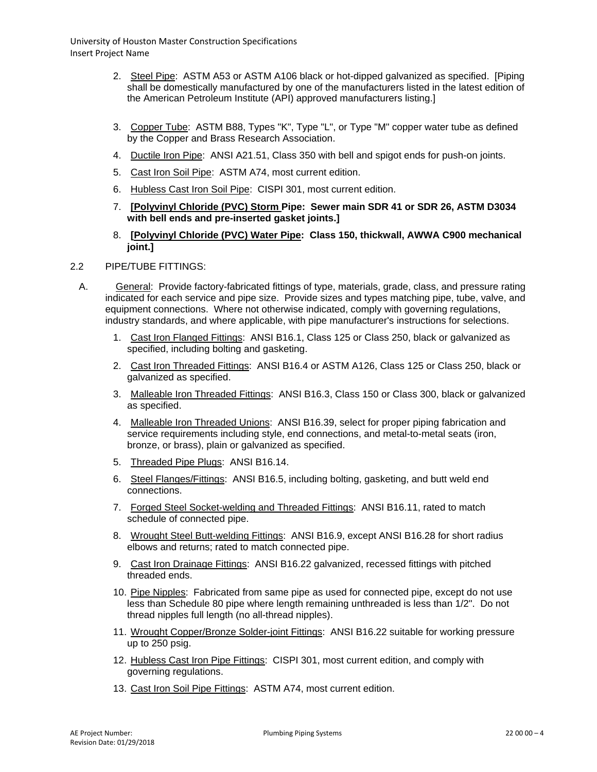- 2. Steel Pipe: ASTM A53 or ASTM A106 black or hot-dipped galvanized as specified. [Piping shall be domestically manufactured by one of the manufacturers listed in the latest edition of the American Petroleum Institute (API) approved manufacturers listing.]
- 3. Copper Tube: ASTM B88, Types "K", Type "L", or Type "M" copper water tube as defined by the Copper and Brass Research Association.
- 4. Ductile Iron Pipe: ANSI A21.51, Class 350 with bell and spigot ends for push-on joints.
- 5. Cast Iron Soil Pipe: ASTM A74, most current edition.
- 6. Hubless Cast Iron Soil Pipe: CISPI 301, most current edition.
- 7. **[Polyvinyl Chloride (PVC) Storm Pipe: Sewer main SDR 41 or SDR 26, ASTM D3034 with bell ends and pre-inserted gasket joints.]**
- 8. **[Polyvinyl Chloride (PVC) Water Pipe: Class 150, thickwall, AWWA C900 mechanical joint.]**
- 2.2 PIPE/TUBE FITTINGS:
- A. General: Provide factory-fabricated fittings of type, materials, grade, class, and pressure rating indicated for each service and pipe size. Provide sizes and types matching pipe, tube, valve, and equipment connections. Where not otherwise indicated, comply with governing regulations, industry standards, and where applicable, with pipe manufacturer's instructions for selections.
	- 1. Cast Iron Flanged Fittings: ANSI B16.1, Class 125 or Class 250, black or galvanized as specified, including bolting and gasketing.
	- 2. Cast Iron Threaded Fittings: ANSI B16.4 or ASTM A126, Class 125 or Class 250, black or galvanized as specified.
	- 3. Malleable Iron Threaded Fittings: ANSI B16.3, Class 150 or Class 300, black or galvanized as specified.
	- 4. Malleable Iron Threaded Unions: ANSI B16.39, select for proper piping fabrication and service requirements including style, end connections, and metal-to-metal seats (iron, bronze, or brass), plain or galvanized as specified.
	- 5. Threaded Pipe Plugs: ANSI B16.14.
	- 6. Steel Flanges/Fittings: ANSI B16.5, including bolting, gasketing, and butt weld end connections.
	- 7. Forged Steel Socket-welding and Threaded Fittings: ANSI B16.11, rated to match schedule of connected pipe.
	- 8. Wrought Steel Butt-welding Fittings: ANSI B16.9, except ANSI B16.28 for short radius elbows and returns; rated to match connected pipe.
	- 9. Cast Iron Drainage Fittings: ANSI B16.22 galvanized, recessed fittings with pitched threaded ends.
	- 10. Pipe Nipples: Fabricated from same pipe as used for connected pipe, except do not use less than Schedule 80 pipe where length remaining unthreaded is less than 1/2". Do not thread nipples full length (no all-thread nipples).
	- 11. Wrought Copper/Bronze Solder-joint Fittings: ANSI B16.22 suitable for working pressure up to 250 psig.
	- 12. Hubless Cast Iron Pipe Fittings: CISPI 301, most current edition, and comply with governing regulations.
	- 13. Cast Iron Soil Pipe Fittings: ASTM A74, most current edition.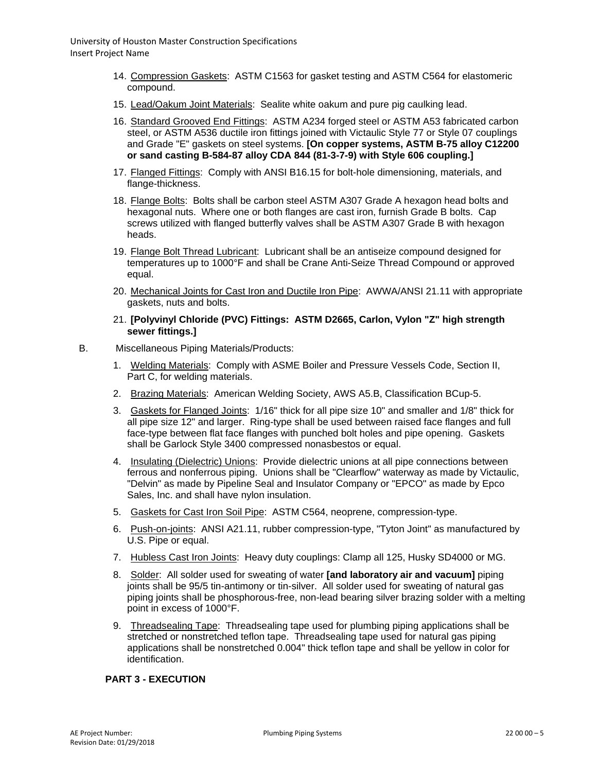- 14. Compression Gaskets: ASTM C1563 for gasket testing and ASTM C564 for elastomeric compound.
- 15. Lead/Oakum Joint Materials: Sealite white oakum and pure pig caulking lead.
- 16. Standard Grooved End Fittings: ASTM A234 forged steel or ASTM A53 fabricated carbon steel, or ASTM A536 ductile iron fittings joined with Victaulic Style 77 or Style 07 couplings and Grade "E" gaskets on steel systems. **[On copper systems, ASTM B-75 alloy C12200 or sand casting B-584-87 alloy CDA 844 (81-3-7-9) with Style 606 coupling.]**
- 17. Flanged Fittings: Comply with ANSI B16.15 for bolt-hole dimensioning, materials, and flange-thickness.
- 18. Flange Bolts: Bolts shall be carbon steel ASTM A307 Grade A hexagon head bolts and hexagonal nuts. Where one or both flanges are cast iron, furnish Grade B bolts. Cap screws utilized with flanged butterfly valves shall be ASTM A307 Grade B with hexagon heads.
- 19. Flange Bolt Thread Lubricant: Lubricant shall be an antiseize compound designed for temperatures up to 1000°F and shall be Crane Anti-Seize Thread Compound or approved equal.
- 20. Mechanical Joints for Cast Iron and Ductile Iron Pipe: AWWA/ANSI 21.11 with appropriate gaskets, nuts and bolts.
- 21. **[Polyvinyl Chloride (PVC) Fittings: ASTM D2665, Carlon, Vylon "Z" high strength sewer fittings.]**
- B. Miscellaneous Piping Materials/Products:
	- 1. Welding Materials: Comply with ASME Boiler and Pressure Vessels Code, Section II, Part C, for welding materials.
	- 2. Brazing Materials: American Welding Society, AWS A5.B, Classification BCup-5.
	- 3. Gaskets for Flanged Joints: 1/16" thick for all pipe size 10" and smaller and 1/8" thick for all pipe size 12" and larger. Ring-type shall be used between raised face flanges and full face-type between flat face flanges with punched bolt holes and pipe opening. Gaskets shall be Garlock Style 3400 compressed nonasbestos or equal.
	- 4. Insulating (Dielectric) Unions: Provide dielectric unions at all pipe connections between ferrous and nonferrous piping. Unions shall be "Clearflow" waterway as made by Victaulic, "Delvin" as made by Pipeline Seal and Insulator Company or "EPCO" as made by Epco Sales, Inc. and shall have nylon insulation.
	- 5. Gaskets for Cast Iron Soil Pipe: ASTM C564, neoprene, compression-type.
	- 6. Push-on-joints: ANSI A21.11, rubber compression-type, "Tyton Joint" as manufactured by U.S. Pipe or equal.
	- 7. Hubless Cast Iron Joints: Heavy duty couplings: Clamp all 125, Husky SD4000 or MG.
	- 8. Solder: All solder used for sweating of water **[and laboratory air and vacuum]** piping joints shall be 95/5 tin-antimony or tin-silver. All solder used for sweating of natural gas piping joints shall be phosphorous-free, non-lead bearing silver brazing solder with a melting point in excess of 1000°F.
	- 9. Threadsealing Tape: Threadsealing tape used for plumbing piping applications shall be stretched or nonstretched teflon tape. Threadsealing tape used for natural gas piping applications shall be nonstretched 0.004" thick teflon tape and shall be yellow in color for identification.

#### **PART 3 - EXECUTION**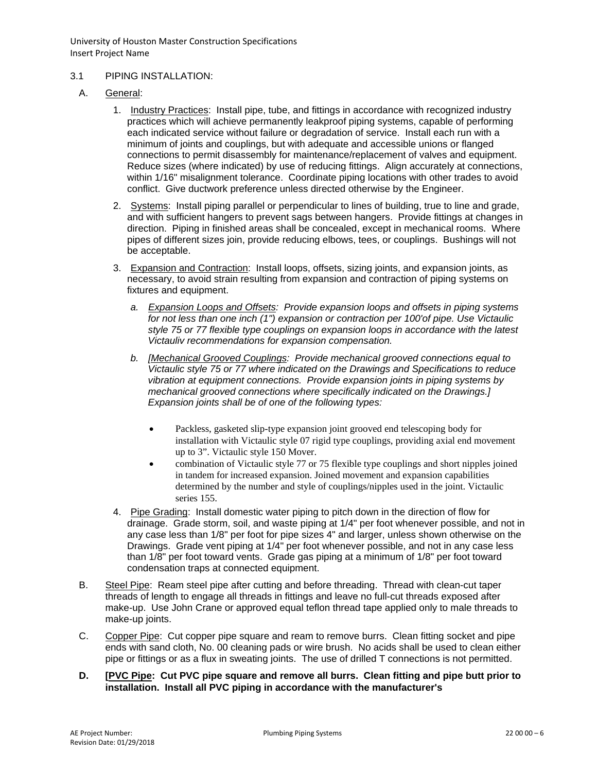### 3.1 PIPING INSTALLATION:

- A. General:
	- 1. Industry Practices: Install pipe, tube, and fittings in accordance with recognized industry practices which will achieve permanently leakproof piping systems, capable of performing each indicated service without failure or degradation of service. Install each run with a minimum of joints and couplings, but with adequate and accessible unions or flanged connections to permit disassembly for maintenance/replacement of valves and equipment. Reduce sizes (where indicated) by use of reducing fittings. Align accurately at connections, within 1/16" misalignment tolerance. Coordinate piping locations with other trades to avoid conflict. Give ductwork preference unless directed otherwise by the Engineer.
	- 2. Systems: Install piping parallel or perpendicular to lines of building, true to line and grade, and with sufficient hangers to prevent sags between hangers. Provide fittings at changes in direction. Piping in finished areas shall be concealed, except in mechanical rooms. Where pipes of different sizes join, provide reducing elbows, tees, or couplings. Bushings will not be acceptable.
	- 3. Expansion and Contraction: Install loops, offsets, sizing joints, and expansion joints, as necessary, to avoid strain resulting from expansion and contraction of piping systems on fixtures and equipment.
		- *a. Expansion Loops and Offsets: Provide expansion loops and offsets in piping systems for not less than one inch (1") expansion or contraction per 100'of pipe. Use Victaulic style 75 or 77 flexible type couplings on expansion loops in accordance with the latest Victauliv recommendations for expansion compensation.*
		- *b. [Mechanical Grooved Couplings: Provide mechanical grooved connections equal to Victaulic style 75 or 77 where indicated on the Drawings and Specifications to reduce vibration at equipment connections. Provide expansion joints in piping systems by mechanical grooved connections where specifically indicated on the Drawings.] Expansion joints shall be of one of the following types:*
			- Packless, gasketed slip-type expansion joint grooved end telescoping body for installation with Victaulic style 07 rigid type couplings, providing axial end movement up to 3". Victaulic style 150 Mover.
			- combination of Victaulic style 77 or 75 flexible type couplings and short nipples joined in tandem for increased expansion. Joined movement and expansion capabilities determined by the number and style of couplings/nipples used in the joint. Victaulic series 155.
	- 4. Pipe Grading: Install domestic water piping to pitch down in the direction of flow for drainage. Grade storm, soil, and waste piping at 1/4" per foot whenever possible, and not in any case less than 1/8" per foot for pipe sizes 4" and larger, unless shown otherwise on the Drawings. Grade vent piping at 1/4" per foot whenever possible, and not in any case less than 1/8" per foot toward vents. Grade gas piping at a minimum of 1/8" per foot toward condensation traps at connected equipment.
- B. Steel Pipe: Ream steel pipe after cutting and before threading. Thread with clean-cut taper threads of length to engage all threads in fittings and leave no full-cut threads exposed after make-up. Use John Crane or approved equal teflon thread tape applied only to male threads to make-up joints.
- C. Copper Pipe: Cut copper pipe square and ream to remove burrs. Clean fitting socket and pipe ends with sand cloth, No. 00 cleaning pads or wire brush. No acids shall be used to clean either pipe or fittings or as a flux in sweating joints. The use of drilled T connections is not permitted.
- **D. [PVC Pipe: Cut PVC pipe square and remove all burrs. Clean fitting and pipe butt prior to installation. Install all PVC piping in accordance with the manufacturer's**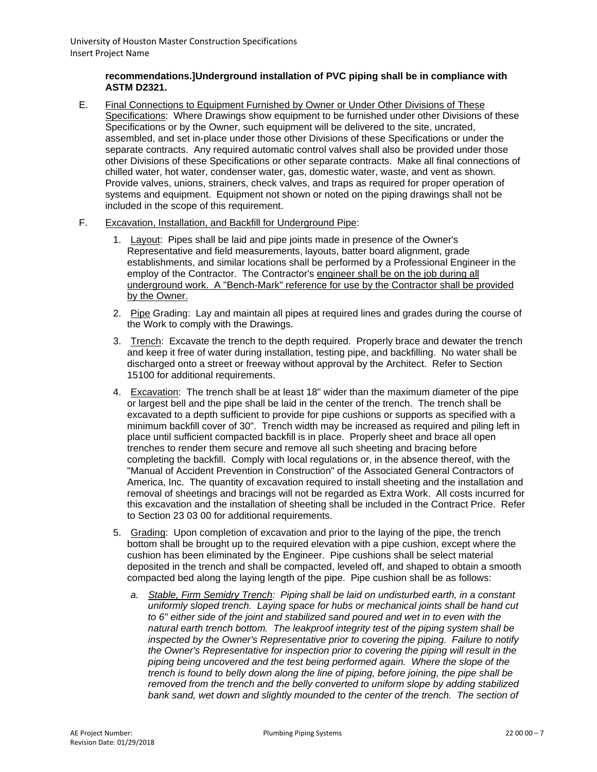# **recommendations.]Underground installation of PVC piping shall be in compliance with ASTM D2321.**

- E. Final Connections to Equipment Furnished by Owner or Under Other Divisions of These Specifications: Where Drawings show equipment to be furnished under other Divisions of these Specifications or by the Owner, such equipment will be delivered to the site, uncrated, assembled, and set in-place under those other Divisions of these Specifications or under the separate contracts. Any required automatic control valves shall also be provided under those other Divisions of these Specifications or other separate contracts. Make all final connections of chilled water, hot water, condenser water, gas, domestic water, waste, and vent as shown. Provide valves, unions, strainers, check valves, and traps as required for proper operation of systems and equipment. Equipment not shown or noted on the piping drawings shall not be included in the scope of this requirement.
- F. Excavation, Installation, and Backfill for Underground Pipe:
	- 1. Layout: Pipes shall be laid and pipe joints made in presence of the Owner's Representative and field measurements, layouts, batter board alignment, grade establishments, and similar locations shall be performed by a Professional Engineer in the employ of the Contractor. The Contractor's engineer shall be on the job during all underground work. A "Bench-Mark" reference for use by the Contractor shall be provided by the Owner.
	- 2. Pipe Grading: Lay and maintain all pipes at required lines and grades during the course of the Work to comply with the Drawings.
	- 3. Trench: Excavate the trench to the depth required. Properly brace and dewater the trench and keep it free of water during installation, testing pipe, and backfilling. No water shall be discharged onto a street or freeway without approval by the Architect. Refer to Section 15100 for additional requirements.
	- 4. Excavation: The trench shall be at least 18" wider than the maximum diameter of the pipe or largest bell and the pipe shall be laid in the center of the trench. The trench shall be excavated to a depth sufficient to provide for pipe cushions or supports as specified with a minimum backfill cover of 30". Trench width may be increased as required and piling left in place until sufficient compacted backfill is in place. Properly sheet and brace all open trenches to render them secure and remove all such sheeting and bracing before completing the backfill. Comply with local regulations or, in the absence thereof, with the "Manual of Accident Prevention in Construction" of the Associated General Contractors of America, Inc. The quantity of excavation required to install sheeting and the installation and removal of sheetings and bracings will not be regarded as Extra Work. All costs incurred for this excavation and the installation of sheeting shall be included in the Contract Price. Refer to Section 23 03 00 for additional requirements.
	- 5. Grading: Upon completion of excavation and prior to the laying of the pipe, the trench bottom shall be brought up to the required elevation with a pipe cushion, except where the cushion has been eliminated by the Engineer. Pipe cushions shall be select material deposited in the trench and shall be compacted, leveled off, and shaped to obtain a smooth compacted bed along the laying length of the pipe. Pipe cushion shall be as follows:
		- *a. Stable, Firm Semidry Trench: Piping shall be laid on undisturbed earth, in a constant uniformly sloped trench. Laying space for hubs or mechanical joints shall be hand cut to 6" either side of the joint and stabilized sand poured and wet in to even with the natural earth trench bottom. The leakproof integrity test of the piping system shall be inspected by the Owner's Representative prior to covering the piping. Failure to notify the Owner's Representative for inspection prior to covering the piping will result in the piping being uncovered and the test being performed again. Where the slope of the trench is found to belly down along the line of piping, before joining, the pipe shall be removed from the trench and the belly converted to uniform slope by adding stabilized*  bank sand, wet down and slightly mounded to the center of the trench. The section of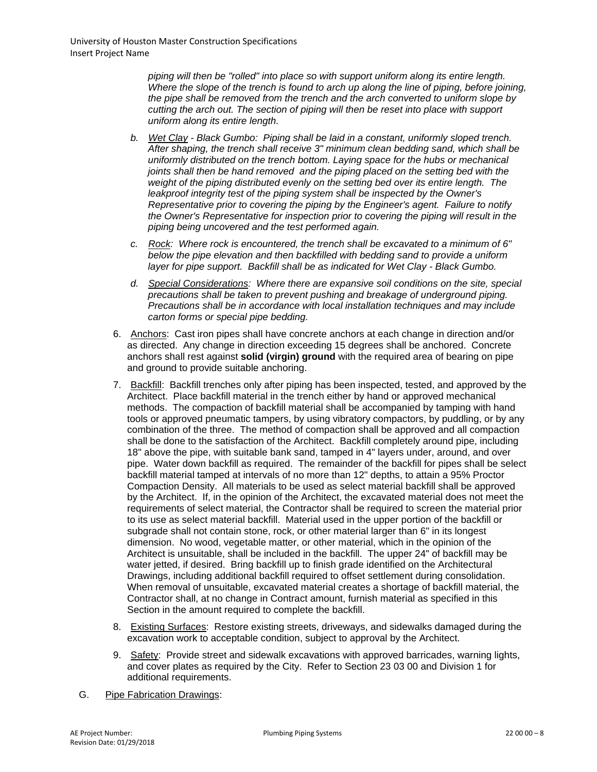*piping will then be "rolled" into place so with support uniform along its entire length. Where the slope of the trench is found to arch up along the line of piping, before joining, the pipe shall be removed from the trench and the arch converted to uniform slope by cutting the arch out. The section of piping will then be reset into place with support uniform along its entire length.*

- *b. Wet Clay - Black Gumbo: Piping shall be laid in a constant, uniformly sloped trench. After shaping, the trench shall receive 3" minimum clean bedding sand, which shall be uniformly distributed on the trench bottom. Laying space for the hubs or mechanical joints shall then be hand removed and the piping placed on the setting bed with the weight of the piping distributed evenly on the setting bed over its entire length. The leakproof integrity test of the piping system shall be inspected by the Owner's Representative prior to covering the piping by the Engineer's agent. Failure to notify the Owner's Representative for inspection prior to covering the piping will result in the piping being uncovered and the test performed again.*
- *c. Rock: Where rock is encountered, the trench shall be excavated to a minimum of 6" below the pipe elevation and then backfilled with bedding sand to provide a uniform layer for pipe support. Backfill shall be as indicated for Wet Clay - Black Gumbo.*
- *d. Special Considerations: Where there are expansive soil conditions on the site, special precautions shall be taken to prevent pushing and breakage of underground piping. Precautions shall be in accordance with local installation techniques and may include carton forms or special pipe bedding.*
- 6. Anchors: Cast iron pipes shall have concrete anchors at each change in direction and/or as directed. Any change in direction exceeding 15 degrees shall be anchored. Concrete anchors shall rest against **solid (virgin) ground** with the required area of bearing on pipe and ground to provide suitable anchoring.
- 7. Backfill: Backfill trenches only after piping has been inspected, tested, and approved by the Architect. Place backfill material in the trench either by hand or approved mechanical methods. The compaction of backfill material shall be accompanied by tamping with hand tools or approved pneumatic tampers, by using vibratory compactors, by puddling, or by any combination of the three. The method of compaction shall be approved and all compaction shall be done to the satisfaction of the Architect. Backfill completely around pipe, including 18" above the pipe, with suitable bank sand, tamped in 4" layers under, around, and over pipe. Water down backfill as required. The remainder of the backfill for pipes shall be select backfill material tamped at intervals of no more than 12" depths, to attain a 95% Proctor Compaction Density. All materials to be used as select material backfill shall be approved by the Architect. If, in the opinion of the Architect, the excavated material does not meet the requirements of select material, the Contractor shall be required to screen the material prior to its use as select material backfill. Material used in the upper portion of the backfill or subgrade shall not contain stone, rock, or other material larger than 6" in its longest dimension. No wood, vegetable matter, or other material, which in the opinion of the Architect is unsuitable, shall be included in the backfill. The upper 24" of backfill may be water jetted, if desired. Bring backfill up to finish grade identified on the Architectural Drawings, including additional backfill required to offset settlement during consolidation. When removal of unsuitable, excavated material creates a shortage of backfill material, the Contractor shall, at no change in Contract amount, furnish material as specified in this Section in the amount required to complete the backfill.
- 8. Existing Surfaces: Restore existing streets, driveways, and sidewalks damaged during the excavation work to acceptable condition, subject to approval by the Architect.
- 9. Safety: Provide street and sidewalk excavations with approved barricades, warning lights, and cover plates as required by the City. Refer to Section 23 03 00 and Division 1 for additional requirements.
- G. Pipe Fabrication Drawings: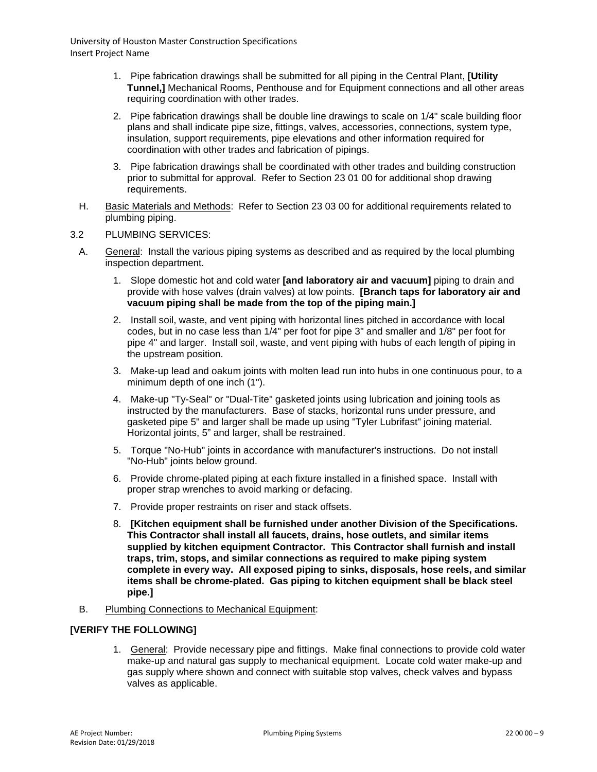- 1. Pipe fabrication drawings shall be submitted for all piping in the Central Plant, **[Utility Tunnel,]** Mechanical Rooms, Penthouse and for Equipment connections and all other areas requiring coordination with other trades.
- 2. Pipe fabrication drawings shall be double line drawings to scale on 1/4" scale building floor plans and shall indicate pipe size, fittings, valves, accessories, connections, system type, insulation, support requirements, pipe elevations and other information required for coordination with other trades and fabrication of pipings.
- 3. Pipe fabrication drawings shall be coordinated with other trades and building construction prior to submittal for approval. Refer to Section 23 01 00 for additional shop drawing requirements.
- H. Basic Materials and Methods: Refer to Section 23 03 00 for additional requirements related to plumbing piping.

### 3.2 PLUMBING SERVICES:

- A. General: Install the various piping systems as described and as required by the local plumbing inspection department.
	- 1. Slope domestic hot and cold water **[and laboratory air and vacuum]** piping to drain and provide with hose valves (drain valves) at low points. **[Branch taps for laboratory air and vacuum piping shall be made from the top of the piping main.]**
	- 2. Install soil, waste, and vent piping with horizontal lines pitched in accordance with local codes, but in no case less than 1/4" per foot for pipe 3" and smaller and 1/8" per foot for pipe 4" and larger. Install soil, waste, and vent piping with hubs of each length of piping in the upstream position.
	- 3. Make-up lead and oakum joints with molten lead run into hubs in one continuous pour, to a minimum depth of one inch (1").
	- 4. Make-up "Ty-Seal" or "Dual-Tite" gasketed joints using lubrication and joining tools as instructed by the manufacturers. Base of stacks, horizontal runs under pressure, and gasketed pipe 5" and larger shall be made up using "Tyler Lubrifast" joining material. Horizontal joints, 5" and larger, shall be restrained.
	- 5. Torque "No-Hub" joints in accordance with manufacturer's instructions. Do not install "No-Hub" joints below ground.
	- 6. Provide chrome-plated piping at each fixture installed in a finished space. Install with proper strap wrenches to avoid marking or defacing.
	- 7. Provide proper restraints on riser and stack offsets.
	- 8. **[Kitchen equipment shall be furnished under another Division of the Specifications. This Contractor shall install all faucets, drains, hose outlets, and similar items supplied by kitchen equipment Contractor. This Contractor shall furnish and install traps, trim, stops, and similar connections as required to make piping system complete in every way. All exposed piping to sinks, disposals, hose reels, and similar items shall be chrome-plated. Gas piping to kitchen equipment shall be black steel pipe.]**
- B. Plumbing Connections to Mechanical Equipment:

# **[VERIFY THE FOLLOWING]**

1. General: Provide necessary pipe and fittings. Make final connections to provide cold water make-up and natural gas supply to mechanical equipment. Locate cold water make-up and gas supply where shown and connect with suitable stop valves, check valves and bypass valves as applicable.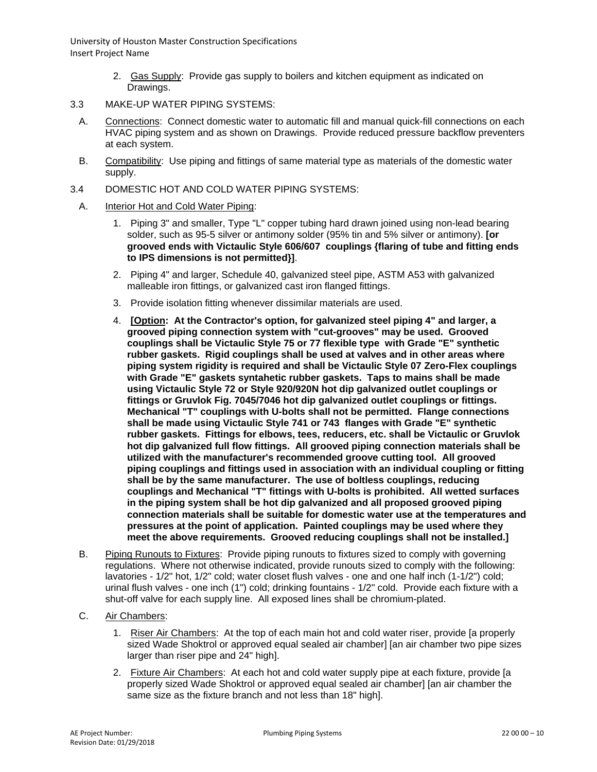- 2. Gas Supply: Provide gas supply to boilers and kitchen equipment as indicated on Drawings.
- 3.3 MAKE-UP WATER PIPING SYSTEMS:
	- A. Connections: Connect domestic water to automatic fill and manual quick-fill connections on each HVAC piping system and as shown on Drawings. Provide reduced pressure backflow preventers at each system.
- B. Compatibility: Use piping and fittings of same material type as materials of the domestic water supply.
- 3.4 DOMESTIC HOT AND COLD WATER PIPING SYSTEMS:
	- A. Interior Hot and Cold Water Piping:
		- 1. Piping 3" and smaller, Type "L" copper tubing hard drawn joined using non-lead bearing solder, such as 95-5 silver or antimony solder (95% tin and 5% silver or antimony). **[or grooved ends with Victaulic Style 606/607 couplings {flaring of tube and fitting ends to IPS dimensions is not permitted}]**.
		- 2. Piping 4" and larger, Schedule 40, galvanized steel pipe, ASTM A53 with galvanized malleable iron fittings, or galvanized cast iron flanged fittings.
		- 3. Provide isolation fitting whenever dissimilar materials are used.
		- 4. **[Option: At the Contractor's option, for galvanized steel piping 4" and larger, a grooved piping connection system with "cut-grooves" may be used. Grooved couplings shall be Victaulic Style 75 or 77 flexible type with Grade "E" synthetic rubber gaskets. Rigid couplings shall be used at valves and in other areas where piping system rigidity is required and shall be Victaulic Style 07 Zero-Flex couplings with Grade "E" gaskets syntahetic rubber gaskets. Taps to mains shall be made using Victaulic Style 72 or Style 920/920N hot dip galvanized outlet couplings or fittings or Gruvlok Fig. 7045/7046 hot dip galvanized outlet couplings or fittings. Mechanical "T" couplings with U-bolts shall not be permitted. Flange connections shall be made using Victaulic Style 741 or 743 flanges with Grade "E" synthetic rubber gaskets. Fittings for elbows, tees, reducers, etc. shall be Victaulic or Gruvlok hot dip galvanized full flow fittings. All grooved piping connection materials shall be utilized with the manufacturer's recommended groove cutting tool. All grooved piping couplings and fittings used in association with an individual coupling or fitting shall be by the same manufacturer. The use of boltless couplings, reducing couplings and Mechanical "T" fittings with U-bolts is prohibited. All wetted surfaces in the piping system shall be hot dip galvanized and all proposed grooved piping connection materials shall be suitable for domestic water use at the temperatures and pressures at the point of application. Painted couplings may be used where they meet the above requirements. Grooved reducing couplings shall not be installed.]**
	- B. Piping Runouts to Fixtures: Provide piping runouts to fixtures sized to comply with governing regulations. Where not otherwise indicated, provide runouts sized to comply with the following: lavatories - 1/2" hot, 1/2" cold; water closet flush valves - one and one half inch (1-1/2") cold; urinal flush valves - one inch (1") cold; drinking fountains - 1/2" cold. Provide each fixture with a shut-off valve for each supply line. All exposed lines shall be chromium-plated.
	- C. Air Chambers:
		- 1. Riser Air Chambers: At the top of each main hot and cold water riser, provide [a properly sized Wade Shoktrol or approved equal sealed air chamber] [an air chamber two pipe sizes larger than riser pipe and 24" high].
		- 2. Fixture Air Chambers: At each hot and cold water supply pipe at each fixture, provide [a properly sized Wade Shoktrol or approved equal sealed air chamber] [an air chamber the same size as the fixture branch and not less than 18" high].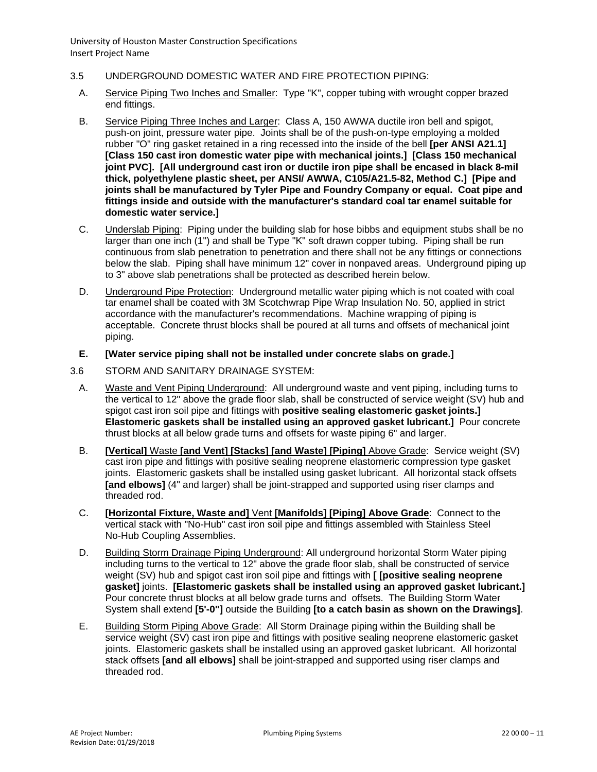- 3.5 UNDERGROUND DOMESTIC WATER AND FIRE PROTECTION PIPING:
	- A. Service Piping Two Inches and Smaller: Type "K", copper tubing with wrought copper brazed end fittings.
	- B. Service Piping Three Inches and Larger: Class A, 150 AWWA ductile iron bell and spigot, push-on joint, pressure water pipe. Joints shall be of the push-on-type employing a molded rubber "O" ring gasket retained in a ring recessed into the inside of the bell **[per ANSI A21.1] [Class 150 cast iron domestic water pipe with mechanical joints.] [Class 150 mechanical joint PVC]. [All underground cast iron or ductile iron pipe shall be encased in black 8-mil thick, polyethylene plastic sheet, per ANSI/ AWWA, C105/A21.5-82, Method C.] [Pipe and joints shall be manufactured by Tyler Pipe and Foundry Company or equal. Coat pipe and fittings inside and outside with the manufacturer's standard coal tar enamel suitable for domestic water service.]**
	- C. Underslab Piping: Piping under the building slab for hose bibbs and equipment stubs shall be no larger than one inch (1") and shall be Type "K" soft drawn copper tubing. Piping shall be run continuous from slab penetration to penetration and there shall not be any fittings or connections below the slab. Piping shall have minimum 12" cover in nonpaved areas. Underground piping up to 3" above slab penetrations shall be protected as described herein below.
	- D. Underground Pipe Protection: Underground metallic water piping which is not coated with coal tar enamel shall be coated with 3M Scotchwrap Pipe Wrap Insulation No. 50, applied in strict accordance with the manufacturer's recommendations. Machine wrapping of piping is acceptable. Concrete thrust blocks shall be poured at all turns and offsets of mechanical joint piping.

## **E. [Water service piping shall not be installed under concrete slabs on grade.]**

- 3.6 STORM AND SANITARY DRAINAGE SYSTEM:
	- A. Waste and Vent Piping Underground: All underground waste and vent piping, including turns to the vertical to 12" above the grade floor slab, shall be constructed of service weight (SV) hub and spigot cast iron soil pipe and fittings with **positive sealing elastomeric gasket joints.] Elastomeric gaskets shall be installed using an approved gasket lubricant.]** Pour concrete thrust blocks at all below grade turns and offsets for waste piping 6" and larger.
	- B. **[Vertical]** Waste **[and Vent] [Stacks] [and Waste] [Piping]** Above Grade: Service weight (SV) cast iron pipe and fittings with positive sealing neoprene elastomeric compression type gasket joints. Elastomeric gaskets shall be installed using gasket lubricant. All horizontal stack offsets **[and elbows]** (4" and larger) shall be joint-strapped and supported using riser clamps and threaded rod.
	- C. **[Horizontal Fixture, Waste and]** Vent **[Manifolds] [Piping] Above Grade**: Connect to the vertical stack with "No-Hub" cast iron soil pipe and fittings assembled with Stainless Steel No-Hub Coupling Assemblies.
	- D. Building Storm Drainage Piping Underground: All underground horizontal Storm Water piping including turns to the vertical to 12" above the grade floor slab, shall be constructed of service weight (SV) hub and spigot cast iron soil pipe and fittings with **[ [positive sealing neoprene gasket]** joints. **[Elastomeric gaskets shall be installed using an approved gasket lubricant.]** Pour concrete thrust blocks at all below grade turns and offsets. The Building Storm Water System shall extend **[5'-0"]** outside the Building **[to a catch basin as shown on the Drawings]**.
	- E. Building Storm Piping Above Grade: All Storm Drainage piping within the Building shall be service weight (SV) cast iron pipe and fittings with positive sealing neoprene elastomeric gasket joints. Elastomeric gaskets shall be installed using an approved gasket lubricant. All horizontal stack offsets **[and all elbows]** shall be joint-strapped and supported using riser clamps and threaded rod.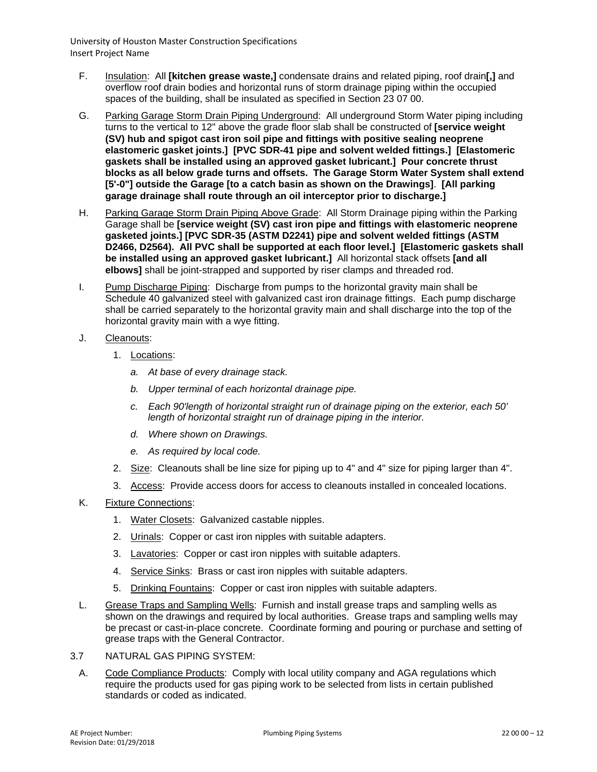- F. Insulation: All **[kitchen grease waste,]** condensate drains and related piping, roof drain**[,]** and overflow roof drain bodies and horizontal runs of storm drainage piping within the occupied spaces of the building, shall be insulated as specified in Section 23 07 00.
- G. Parking Garage Storm Drain Piping Underground: All underground Storm Water piping including turns to the vertical to 12" above the grade floor slab shall be constructed of **[service weight (SV) hub and spigot cast iron soil pipe and fittings with positive sealing neoprene elastomeric gasket joints.] [PVC SDR-41 pipe and solvent welded fittings.] [Elastomeric gaskets shall be installed using an approved gasket lubricant.] Pour concrete thrust blocks as all below grade turns and offsets. The Garage Storm Water System shall extend [5'-0"] outside the Garage [to a catch basin as shown on the Drawings]**. **[All parking garage drainage shall route through an oil interceptor prior to discharge.]**
- H. Parking Garage Storm Drain Piping Above Grade: All Storm Drainage piping within the Parking Garage shall be **[service weight (SV) cast iron pipe and fittings with elastomeric neoprene gasketed joints.] [PVC SDR-35 (ASTM D2241) pipe and solvent welded fittings (ASTM D2466, D2564). All PVC shall be supported at each floor level.] [Elastomeric gaskets shall be installed using an approved gasket lubricant.]** All horizontal stack offsets **[and all elbows]** shall be joint-strapped and supported by riser clamps and threaded rod.
- I. Pump Discharge Piping: Discharge from pumps to the horizontal gravity main shall be Schedule 40 galvanized steel with galvanized cast iron drainage fittings. Each pump discharge shall be carried separately to the horizontal gravity main and shall discharge into the top of the horizontal gravity main with a wye fitting.
- J. Cleanouts:
	- 1. Locations:
		- *a. At base of every drainage stack.*
		- *b. Upper terminal of each horizontal drainage pipe.*
		- *c. Each 90'length of horizontal straight run of drainage piping on the exterior, each 50' length of horizontal straight run of drainage piping in the interior.*
		- *d. Where shown on Drawings.*
		- *e. As required by local code.*
	- 2. Size: Cleanouts shall be line size for piping up to 4" and 4" size for piping larger than 4".
	- 3. Access: Provide access doors for access to cleanouts installed in concealed locations.
- K. Fixture Connections:
	- 1. Water Closets: Galvanized castable nipples.
	- 2. Urinals: Copper or cast iron nipples with suitable adapters.
	- 3. Lavatories: Copper or cast iron nipples with suitable adapters.
	- 4. Service Sinks: Brass or cast iron nipples with suitable adapters.
	- 5. Drinking Fountains: Copper or cast iron nipples with suitable adapters.
- L. Grease Traps and Sampling Wells: Furnish and install grease traps and sampling wells as shown on the drawings and required by local authorities. Grease traps and sampling wells may be precast or cast-in-place concrete. Coordinate forming and pouring or purchase and setting of grease traps with the General Contractor.
- 3.7 NATURAL GAS PIPING SYSTEM:
	- A. Code Compliance Products: Comply with local utility company and AGA regulations which require the products used for gas piping work to be selected from lists in certain published standards or coded as indicated.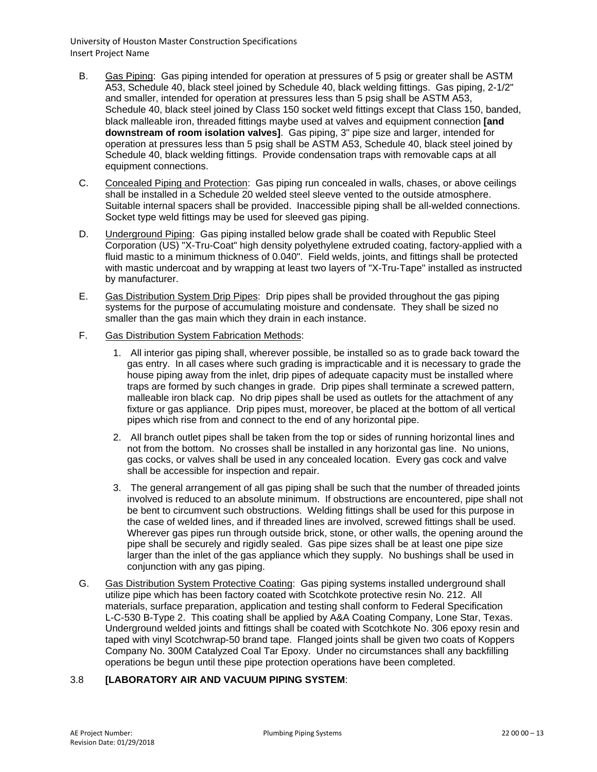- B. Gas Piping: Gas piping intended for operation at pressures of 5 psig or greater shall be ASTM A53, Schedule 40, black steel joined by Schedule 40, black welding fittings. Gas piping, 2-1/2" and smaller, intended for operation at pressures less than 5 psig shall be ASTM A53, Schedule 40, black steel joined by Class 150 socket weld fittings except that Class 150, banded, black malleable iron, threaded fittings maybe used at valves and equipment connection **[and downstream of room isolation valves]**. Gas piping, 3" pipe size and larger, intended for operation at pressures less than 5 psig shall be ASTM A53, Schedule 40, black steel joined by Schedule 40, black welding fittings. Provide condensation traps with removable caps at all equipment connections.
- C. Concealed Piping and Protection: Gas piping run concealed in walls, chases, or above ceilings shall be installed in a Schedule 20 welded steel sleeve vented to the outside atmosphere. Suitable internal spacers shall be provided. Inaccessible piping shall be all-welded connections. Socket type weld fittings may be used for sleeved gas piping.
- D. Underground Piping: Gas piping installed below grade shall be coated with Republic Steel Corporation (US) "X-Tru-Coat" high density polyethylene extruded coating, factory-applied with a fluid mastic to a minimum thickness of 0.040". Field welds, joints, and fittings shall be protected with mastic undercoat and by wrapping at least two layers of "X-Tru-Tape" installed as instructed by manufacturer.
- E. Gas Distribution System Drip Pipes: Drip pipes shall be provided throughout the gas piping systems for the purpose of accumulating moisture and condensate. They shall be sized no smaller than the gas main which they drain in each instance.
- F. Gas Distribution System Fabrication Methods:
	- 1. All interior gas piping shall, wherever possible, be installed so as to grade back toward the gas entry. In all cases where such grading is impracticable and it is necessary to grade the house piping away from the inlet, drip pipes of adequate capacity must be installed where traps are formed by such changes in grade. Drip pipes shall terminate a screwed pattern, malleable iron black cap. No drip pipes shall be used as outlets for the attachment of any fixture or gas appliance. Drip pipes must, moreover, be placed at the bottom of all vertical pipes which rise from and connect to the end of any horizontal pipe.
	- 2. All branch outlet pipes shall be taken from the top or sides of running horizontal lines and not from the bottom. No crosses shall be installed in any horizontal gas line. No unions, gas cocks, or valves shall be used in any concealed location. Every gas cock and valve shall be accessible for inspection and repair.
	- 3. The general arrangement of all gas piping shall be such that the number of threaded joints involved is reduced to an absolute minimum. If obstructions are encountered, pipe shall not be bent to circumvent such obstructions. Welding fittings shall be used for this purpose in the case of welded lines, and if threaded lines are involved, screwed fittings shall be used. Wherever gas pipes run through outside brick, stone, or other walls, the opening around the pipe shall be securely and rigidly sealed. Gas pipe sizes shall be at least one pipe size larger than the inlet of the gas appliance which they supply. No bushings shall be used in conjunction with any gas piping.
- G. Gas Distribution System Protective Coating: Gas piping systems installed underground shall utilize pipe which has been factory coated with Scotchkote protective resin No. 212. All materials, surface preparation, application and testing shall conform to Federal Specification L-C-530 B-Type 2. This coating shall be applied by A&A Coating Company, Lone Star, Texas. Underground welded joints and fittings shall be coated with Scotchkote No. 306 epoxy resin and taped with vinyl Scotchwrap-50 brand tape. Flanged joints shall be given two coats of Koppers Company No. 300M Catalyzed Coal Tar Epoxy. Under no circumstances shall any backfilling operations be begun until these pipe protection operations have been completed.

# 3.8 **[LABORATORY AIR AND VACUUM PIPING SYSTEM**: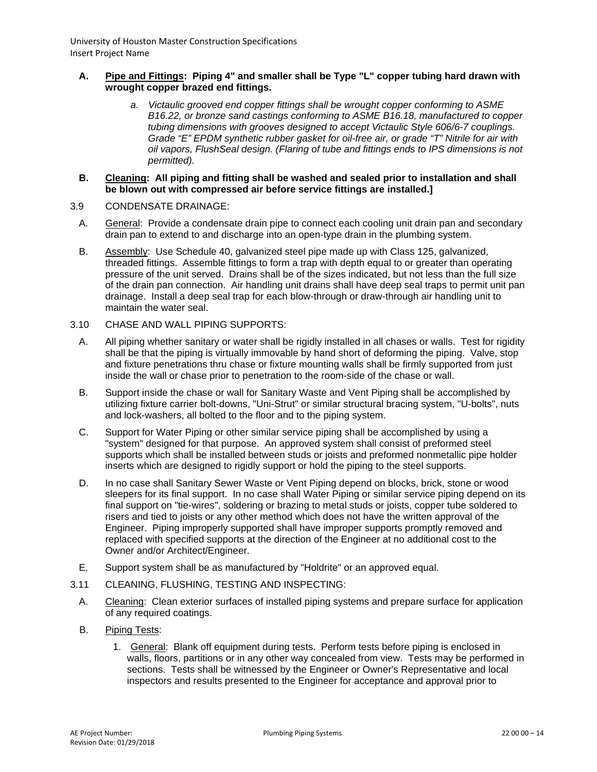### **A. Pipe and Fittings: Piping 4" and smaller shall be Type "L" copper tubing hard drawn with wrought copper brazed end fittings.**

*a. Victaulic grooved end copper fittings shall be wrought copper conforming to ASME B16.22, or bronze sand castings conforming to ASME B16.18, manufactured to copper tubing dimensions with grooves designed to accept Victaulic Style 606/6-7 couplings. Grade "E" EPDM synthetic rubber gasket for oil-free air, or grade "T" Nitrile for air with oil vapors, FlushSeal design. (Flaring of tube and fittings ends to IPS dimensions is not permitted).* 

#### **B. Cleaning: All piping and fitting shall be washed and sealed prior to installation and shall be blown out with compressed air before service fittings are installed.]**

- 3.9 CONDENSATE DRAINAGE:
	- A. General: Provide a condensate drain pipe to connect each cooling unit drain pan and secondary drain pan to extend to and discharge into an open-type drain in the plumbing system.
	- B. Assembly: Use Schedule 40, galvanized steel pipe made up with Class 125, galvanized, threaded fittings. Assemble fittings to form a trap with depth equal to or greater than operating pressure of the unit served. Drains shall be of the sizes indicated, but not less than the full size of the drain pan connection. Air handling unit drains shall have deep seal traps to permit unit pan drainage. Install a deep seal trap for each blow-through or draw-through air handling unit to maintain the water seal.
- 3.10 CHASE AND WALL PIPING SUPPORTS:
	- A. All piping whether sanitary or water shall be rigidly installed in all chases or walls. Test for rigidity shall be that the piping is virtually immovable by hand short of deforming the piping. Valve, stop and fixture penetrations thru chase or fixture mounting walls shall be firmly supported from just inside the wall or chase prior to penetration to the room-side of the chase or wall.
	- B. Support inside the chase or wall for Sanitary Waste and Vent Piping shall be accomplished by utilizing fixture carrier bolt-downs, "Uni-Strut" or similar structural bracing system, "U-bolts", nuts and lock-washers, all bolted to the floor and to the piping system.
	- C. Support for Water Piping or other similar service piping shall be accomplished by using a "system" designed for that purpose. An approved system shall consist of preformed steel supports which shall be installed between studs or joists and preformed nonmetallic pipe holder inserts which are designed to rigidly support or hold the piping to the steel supports.
	- D. In no case shall Sanitary Sewer Waste or Vent Piping depend on blocks, brick, stone or wood sleepers for its final support. In no case shall Water Piping or similar service piping depend on its final support on "tie-wires", soldering or brazing to metal studs or joists, copper tube soldered to risers and tied to joists or any other method which does not have the written approval of the Engineer. Piping improperly supported shall have improper supports promptly removed and replaced with specified supports at the direction of the Engineer at no additional cost to the Owner and/or Architect/Engineer.
	- E. Support system shall be as manufactured by "Holdrite" or an approved equal.
- 3.11 CLEANING, FLUSHING, TESTING AND INSPECTING:
	- A. Cleaning: Clean exterior surfaces of installed piping systems and prepare surface for application of any required coatings.
	- B. Piping Tests:
		- 1. General: Blank off equipment during tests. Perform tests before piping is enclosed in walls, floors, partitions or in any other way concealed from view. Tests may be performed in sections. Tests shall be witnessed by the Engineer or Owner's Representative and local inspectors and results presented to the Engineer for acceptance and approval prior to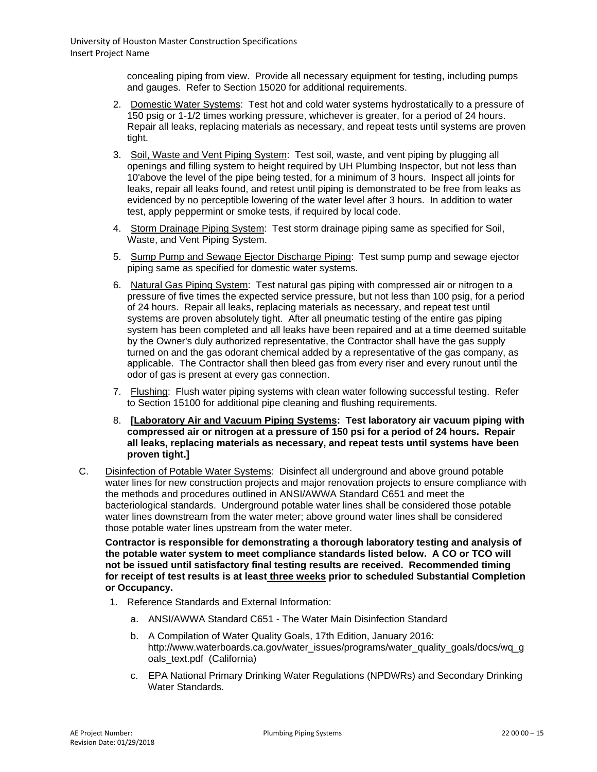concealing piping from view. Provide all necessary equipment for testing, including pumps and gauges. Refer to Section 15020 for additional requirements.

- 2. Domestic Water Systems: Test hot and cold water systems hydrostatically to a pressure of 150 psig or 1-1/2 times working pressure, whichever is greater, for a period of 24 hours. Repair all leaks, replacing materials as necessary, and repeat tests until systems are proven tight.
- 3. Soil, Waste and Vent Piping System: Test soil, waste, and vent piping by plugging all openings and filling system to height required by UH Plumbing Inspector, but not less than 10'above the level of the pipe being tested, for a minimum of 3 hours. Inspect all joints for leaks, repair all leaks found, and retest until piping is demonstrated to be free from leaks as evidenced by no perceptible lowering of the water level after 3 hours. In addition to water test, apply peppermint or smoke tests, if required by local code.
- 4. Storm Drainage Piping System: Test storm drainage piping same as specified for Soil, Waste, and Vent Piping System.
- 5. Sump Pump and Sewage Ejector Discharge Piping: Test sump pump and sewage ejector piping same as specified for domestic water systems.
- 6. Natural Gas Piping System: Test natural gas piping with compressed air or nitrogen to a pressure of five times the expected service pressure, but not less than 100 psig, for a period of 24 hours. Repair all leaks, replacing materials as necessary, and repeat test until systems are proven absolutely tight. After all pneumatic testing of the entire gas piping system has been completed and all leaks have been repaired and at a time deemed suitable by the Owner's duly authorized representative, the Contractor shall have the gas supply turned on and the gas odorant chemical added by a representative of the gas company, as applicable. The Contractor shall then bleed gas from every riser and every runout until the odor of gas is present at every gas connection.
- 7. Flushing: Flush water piping systems with clean water following successful testing. Refer to Section 15100 for additional pipe cleaning and flushing requirements.
- 8. **[Laboratory Air and Vacuum Piping Systems: Test laboratory air vacuum piping with compressed air or nitrogen at a pressure of 150 psi for a period of 24 hours. Repair all leaks, replacing materials as necessary, and repeat tests until systems have been proven tight.]**
- C. Disinfection of Potable Water Systems: Disinfect all underground and above ground potable water lines for new construction projects and major renovation projects to ensure compliance with the methods and procedures outlined in ANSI/AWWA Standard C651 and meet the bacteriological standards. Underground potable water lines shall be considered those potable water lines downstream from the water meter; above ground water lines shall be considered those potable water lines upstream from the water meter.

**Contractor is responsible for demonstrating a thorough laboratory testing and analysis of the potable water system to meet compliance standards listed below. A CO or TCO will not be issued until satisfactory final testing results are received. Recommended timing for receipt of test results is at least three weeks prior to scheduled Substantial Completion or Occupancy.**

- 1. Reference Standards and External Information:
	- a. ANSI/AWWA Standard C651 The Water Main Disinfection Standard
	- b. A Compilation of Water Quality Goals, 17th Edition, January 2016: [http://www.waterboards.ca.gov/water\\_issues/programs/water\\_quality\\_goals/docs/wq\\_g](http://www.waterboards.ca.gov/water_issues/programs/water_quality_goals/docs/wq_goals_text.pdf) [oals\\_text.pdf](http://www.waterboards.ca.gov/water_issues/programs/water_quality_goals/docs/wq_goals_text.pdf) (California)
	- c. EPA National Primary Drinking Water Regulations (NPDWRs) and Secondary Drinking Water Standards.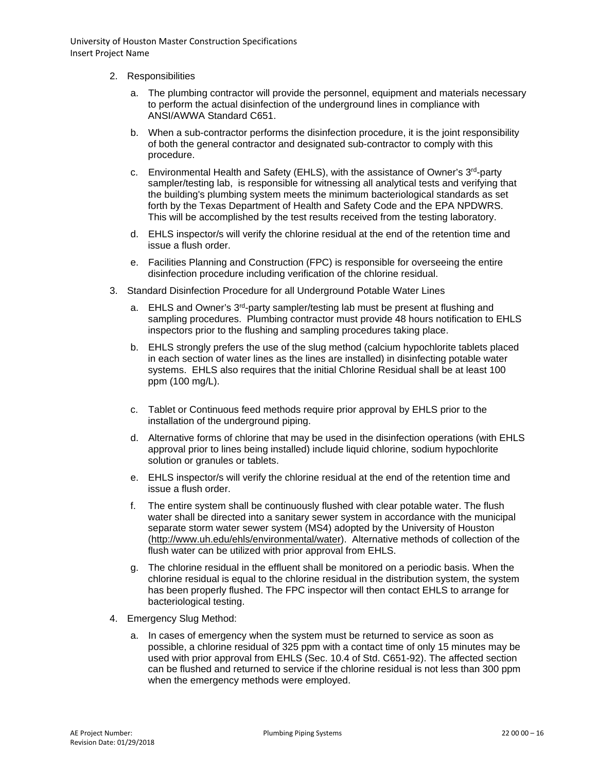- 2. Responsibilities
	- a. The plumbing contractor will provide the personnel, equipment and materials necessary to perform the actual disinfection of the underground lines in compliance with ANSI/AWWA Standard C651.
	- b. When a sub-contractor performs the disinfection procedure, it is the joint responsibility of both the general contractor and designated sub-contractor to comply with this procedure.
	- c. Environmental Health and Safety (EHLS), with the assistance of Owner's  $3<sup>rd</sup>$ -party sampler/testing lab, is responsible for witnessing all analytical tests and verifying that the building's plumbing system meets the minimum bacteriological standards as set forth by the Texas Department of Health and Safety Code and the EPA NPDWRS. This will be accomplished by the test results received from the testing laboratory.
	- d. EHLS inspector/s will verify the chlorine residual at the end of the retention time and issue a flush order.
	- e. Facilities Planning and Construction (FPC) is responsible for overseeing the entire disinfection procedure including verification of the chlorine residual.
- 3. Standard Disinfection Procedure for all Underground Potable Water Lines
	- a. EHLS and Owner's 3<sup>rd</sup>-party sampler/testing lab must be present at flushing and sampling procedures. Plumbing contractor must provide 48 hours notification to EHLS inspectors prior to the flushing and sampling procedures taking place.
	- b. EHLS strongly prefers the use of the slug method (calcium hypochlorite tablets placed in each section of water lines as the lines are installed) in disinfecting potable water systems. EHLS also requires that the initial Chlorine Residual shall be at least 100 ppm (100 mg/L).
	- c. Tablet or Continuous feed methods require prior approval by EHLS prior to the installation of the underground piping.
	- d. Alternative forms of chlorine that may be used in the disinfection operations (with EHLS approval prior to lines being installed) include liquid chlorine, sodium hypochlorite solution or granules or tablets.
	- e. EHLS inspector/s will verify the chlorine residual at the end of the retention time and issue a flush order.
	- f. The entire system shall be continuously flushed with clear potable water. The flush water shall be directed into a sanitary sewer system in accordance with the municipal separate storm water sewer system (MS4) adopted by the University of Houston [\(http://www.uh.edu/ehls/environmental/water\)](http://www.uh.edu/ehls/environmental/water). Alternative methods of collection of the flush water can be utilized with prior approval from EHLS.
	- g. The chlorine residual in the effluent shall be monitored on a periodic basis. When the chlorine residual is equal to the chlorine residual in the distribution system, the system has been properly flushed. The FPC inspector will then contact EHLS to arrange for bacteriological testing.
- 4. Emergency Slug Method:
	- a. In cases of emergency when the system must be returned to service as soon as possible, a chlorine residual of 325 ppm with a contact time of only 15 minutes may be used with prior approval from EHLS (Sec. 10.4 of Std. C651-92). The affected section can be flushed and returned to service if the chlorine residual is not less than 300 ppm when the emergency methods were employed.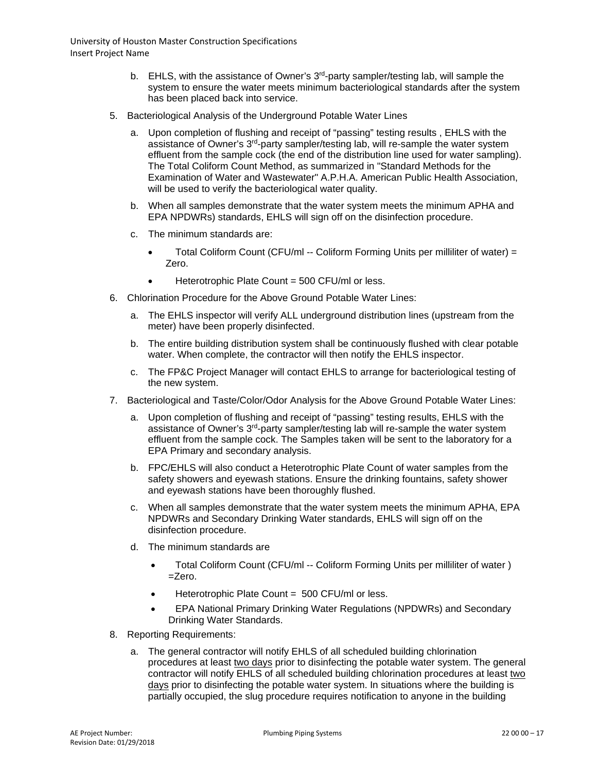- b. EHLS, with the assistance of Owner's  $3<sup>rd</sup>$ -party sampler/testing lab, will sample the system to ensure the water meets minimum bacteriological standards after the system has been placed back into service.
- 5. Bacteriological Analysis of the Underground Potable Water Lines
	- a. Upon completion of flushing and receipt of "passing" testing results , EHLS with the assistance of Owner's 3rd-party sampler/testing lab, will re-sample the water system effluent from the sample cock (the end of the distribution line used for water sampling). The Total Coliform Count Method, as summarized in "Standard Methods for the Examination of Water and Wastewater" A.P.H.A. American Public Health Association, will be used to verify the bacteriological water quality.
	- b. When all samples demonstrate that the water system meets the minimum APHA and EPA NPDWRs) standards, EHLS will sign off on the disinfection procedure.
	- c. The minimum standards are:
		- Total Coliform Count (CFU/ml  $-$  Coliform Forming Units per milliliter of water) = Zero.
		- Heterotrophic Plate Count = 500 CFU/ml or less.
- 6. Chlorination Procedure for the Above Ground Potable Water Lines:
	- a. The EHLS inspector will verify ALL underground distribution lines (upstream from the meter) have been properly disinfected.
	- b. The entire building distribution system shall be continuously flushed with clear potable water. When complete, the contractor will then notify the EHLS inspector.
	- c. The FP&C Project Manager will contact EHLS to arrange for bacteriological testing of the new system.
- 7. Bacteriological and Taste/Color/Odor Analysis for the Above Ground Potable Water Lines:
	- a. Upon completion of flushing and receipt of "passing" testing results, EHLS with the assistance of Owner's 3<sup>rd</sup>-party sampler/testing lab will re-sample the water system effluent from the sample cock. The Samples taken will be sent to the laboratory for a EPA Primary and secondary analysis.
	- b. FPC/EHLS will also conduct a Heterotrophic Plate Count of water samples from the safety showers and eyewash stations. Ensure the drinking fountains, safety shower and eyewash stations have been thoroughly flushed.
	- c. When all samples demonstrate that the water system meets the minimum APHA, EPA NPDWRs and Secondary Drinking Water standards, EHLS will sign off on the disinfection procedure.
	- d. The minimum standards are
		- Total Coliform Count (CFU/ml -- Coliform Forming Units per milliliter of water)  $=$ Zero.
		- Heterotrophic Plate Count = 500 CFU/ml or less.
		- EPA National Primary Drinking Water Regulations (NPDWRs) and Secondary Drinking Water Standards.
- 8. Reporting Requirements:
	- a. The general contractor will notify EHLS of all scheduled building chlorination procedures at least two days prior to disinfecting the potable water system. The general contractor will notify EHLS of all scheduled building chlorination procedures at least two days prior to disinfecting the potable water system. In situations where the building is partially occupied, the slug procedure requires notification to anyone in the building